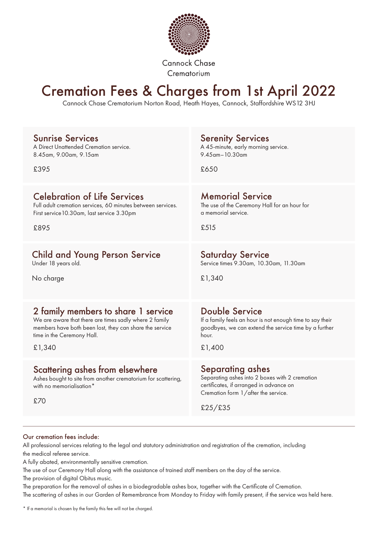

**Cannock Chase** Crematorium

## Cremation Fees & Charges from 1st April 2022

Cannock Chase Crematorium Norton Road, Heath Hayes, Cannock, Staffordshire WS12 3HJ

| <b>Sunrise Services</b>                                                                                                             | <b>Serenity Services</b>                                                                                                                                               |
|-------------------------------------------------------------------------------------------------------------------------------------|------------------------------------------------------------------------------------------------------------------------------------------------------------------------|
| A Direct Unattended Cremation service.                                                                                              | A 45-minute, early morning service.                                                                                                                                    |
| 8.45am, 9.00am, 9.15am                                                                                                              | $9.45$ am - 10.30am                                                                                                                                                    |
| £395                                                                                                                                | £650                                                                                                                                                                   |
| <b>Celebration of Life Services</b>                                                                                                 | <b>Memorial Service</b>                                                                                                                                                |
| Full adult cremation services, 60 minutes between services.                                                                         | The use of the Ceremony Hall for an hour for                                                                                                                           |
| First service 10.30am, last service 3.30pm                                                                                          | a memorial service.                                                                                                                                                    |
| £895                                                                                                                                | £515                                                                                                                                                                   |
| <b>Child and Young Person Service</b>                                                                                               | <b>Saturday Service</b>                                                                                                                                                |
| Under 18 years old.                                                                                                                 | Service times 9.30am, 10.30am, 11.30am                                                                                                                                 |
| No charge                                                                                                                           | £1,340                                                                                                                                                                 |
| 2 family members to share 1 service                                                                                                 | Double Service                                                                                                                                                         |
| We are aware that there are times sadly where 2 family                                                                              | If a family feels an hour is not enough time to say their                                                                                                              |
| members have both been lost, they can share the service                                                                             | goodbyes, we can extend the service time by a further                                                                                                                  |
| time in the Ceremony Hall.                                                                                                          | hour.                                                                                                                                                                  |
| £1,340                                                                                                                              | £1,400                                                                                                                                                                 |
| Scattering ashes from elsewhere<br>Ashes bought to site from another crematorium for scattering,<br>with no memorialisation*<br>£70 | <b>Separating ashes</b><br>Separating ashes into 2 boxes with 2 cremation<br>certificates, if arranged in advance on<br>Cremation form 1/after the service.<br>£25/£35 |

#### Our cremation fees include:

All professional services relating to the legal and statutory administration and registration of the cremation, including the medical referee service.

A fully abated, environmentally sensitive cremation.

The use of our Ceremony Hall along with the assistance of trained staff members on the day of the service. The provision of digital Obitus music.

The preparation for the removal of ashes in a biodegradable ashes box, together with the Certificate of Cremation. The scattering of ashes in our Garden of Remembrance from Monday to Friday with family present, if the service was held here.

\* If a memorial is chosen by the family this fee will not be charged.